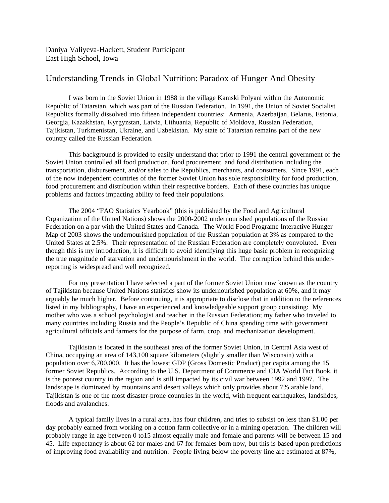Daniya Valiyeva-Hackett, Student Participant East High School, Iowa

## Understanding Trends in Global Nutrition: Paradox of Hunger And Obesity

I was born in the Soviet Union in 1988 in the village Kamski Polyani within the Autonomic Republic of Tatarstan, which was part of the Russian Federation. In 1991, the Union of Soviet Socialist Republics formally dissolved into fifteen independent countries: Armenia, Azerbaijan, Belarus, Estonia, Georgia, Kazakhstan, Kyrgyzstan, Latvia, Lithuania, Republic of Moldova, Russian Federation, Tajikistan, Turkmenistan, Ukraine, and Uzbekistan. My state of Tatarstan remains part of the new country called the Russian Federation.

This background is provided to easily understand that prior to 1991 the central government of the Soviet Union controlled all food production, food procurement, and food distribution including the transportation, disbursement, and/or sales to the Republics, merchants, and consumers. Since 1991, each of the now independent countries of the former Soviet Union has sole responsibility for food production, food procurement and distribution within their respective borders. Each of these countries has unique problems and factors impacting ability to feed their populations.

The 2004 "FAO Statistics Yearbook" (this is published by the Food and Agricultural Organization of the United Nations) shows the 2000-2002 undernourished populations of the Russian Federation on a par with the United States and Canada. The World Food Programe Interactive Hunger Map of 2003 shows the undernourished population of the Russian population at 3% as compared to the United States at 2.5%. Their representation of the Russian Federation are completely convoluted. Even though this is my introduction, it is difficult to avoid identifying this huge basic problem in recognizing the true magnitude of starvation and undernourishment in the world. The corruption behind this underreporting is widespread and well recognized.

For my presentation I have selected a part of the former Soviet Union now known as the country of Tajikistan because United Nations statistics show its undernourished population at 60%, and it may arguably be much higher. Before continuing, it is appropriate to disclose that in addition to the references listed in my bibliography, I have an experienced and knowledgeable support group consisting: My mother who was a school psychologist and teacher in the Russian Federation; my father who traveled to many countries including Russia and the People's Republic of China spending time with government agricultural officials and farmers for the purpose of farm, crop, and mechanization development.

Tajikistan is located in the southeast area of the former Soviet Union, in Central Asia west of China, occupying an area of 143,100 square kilometers (slightly smaller than Wisconsin) with a population over 6,700,000. It has the lowest GDP (Gross Domestic Product) per capita among the 15 former Soviet Republics. According to the U.S. Department of Commerce and CIA World Fact Book, it is the poorest country in the region and is still impacted by its civil war between 1992 and 1997. The landscape is dominated by mountains and desert valleys which only provides about 7% arable land. Tajikistan is one of the most disaster-prone countries in the world, with frequent earthquakes, landslides, floods and avalanches.

A typical family lives in a rural area, has four children, and tries to subsist on less than \$1.00 per day probably earned from working on a cotton farm collective or in a mining operation. The children will probably range in age between 0 to15 almost equally male and female and parents will be between 15 and 45. Life expectancy is about 62 for males and 67 for females born now, but this is based upon predictions of improving food availability and nutrition. People living below the poverty line are estimated at 87%,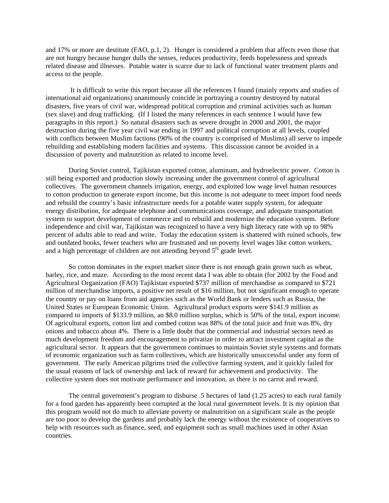and 17% or more are destitute (FAO, p.1, 2). Hunger is considered a problem that affects even those that are not hungry because hunger dulls the senses, reduces productivity, feeds hopelessness and spreads related disease and illnesses. Potable water is scarce due to lack of functional water treatment plants and access to the people.

 It is difficult to write this report because all the references I found (mainly reports and studies of international aid organizations) unanimously coincide in portraying a country destroyed by natural disasters, five years of civil war, widespread political corruption and criminal activities such as human (sex slave) and drug trafficking. (If I listed the many references in each sentence I would have few paragraphs in this report.) So natural disasters such as severe drought in 2000 and 2001, the major destruction during the five year civil war ending in 1997 and political corruption at all levels, coupled with conflicts between Muslim factions (90% of the country is comprised of Muslims) all serve to impede rebuilding and establishing modern facilities and systems. This discussion cannot be avoided in a discussion of poverty and malnutrition as related to income level.

During Soviet control, Tajikistan exported cotton, aluminum, and hydroelectric power. Cotton is still being exported and production slowly increasing under the government control of agricultural collectives. The government channels irrigation, energy, and exploited low wage level human resources to cotton production to generate export income, but this income is not adequate to meet import food needs and rebuild the country's basic infrastructure needs for a potable water supply system, for adequate energy distribution, for adequate telephone and communications coverage, and adequate transportation system to support development of commerce and to rebuild and modernize the education system. Before independence and civil war, Tajikistan was recognized to have a very high literacy rate with up to 98% percent of adults able to read and write. Today the education system is shattered with ruined schools, few and outdated books, fewer teachers who are frustrated and on poverty level wages like cotton workers, and a high percentage of children are not attending beyond  $5<sup>th</sup>$  grade level.

So cotton dominates in the export market since there is not enough grain grown such as wheat, barley, rice, and maze. According to the most recent data I was able to obtain (for 2002 by the Food and Agricultural Organization (FAO) Tajikistan exported \$737 million of merchandise as compared to \$721 million of merchandise imports, a positive net result of \$16 million, but not significant enough to operate the country or pay on loans from aid agencies such as the World Bank or lenders such as Russia, the United States or European Economic Union. Agricultural product exports were \$141.9 million as compared to imports of \$133.9 million, an \$8.0 million surplus, which is 50% of the total, export income. Of agricultural exports, cotton lint and combed cotton was 88% of the total juice and fruit was 8%, dry onions and tobacco about 4%. There is a little doubt that the commercial and industrial sectors need as much development freedom and encouragement to privatize in order to attract investment capital as the agricultural sector. It appears that the government continues to maintain Soviet style systems and formats of economic organization such as farm collectives, which are historically unsuccessful under any form of government. The early American pilgrims tried the collective farming system, and it quickly failed for the usual reasons of lack of ownership and lack of reward for achievement and productivity. The collective system does not motivate performance and innovation, as there is no carrot and reward.

The central government's program to disburse .5 hectares of land (1.25 acres) to each rural family for a food garden has apparently been corrupted at the local rural government levels. It is my opinion that this program would not do much to alleviate poverty or malnutrition on a significant scale as the people are too poor to develop the gardens and probably lack the energy without the existence of cooperatives to help with resources such as finance, seed, and equipment such as small machines used in other Asian countries.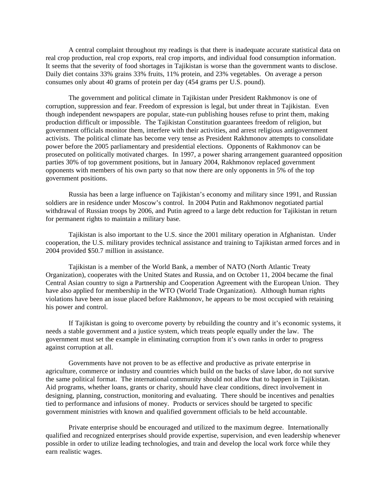A central complaint throughout my readings is that there is inadequate accurate statistical data on real crop production, real crop exports, real crop imports, and individual food consumption information. It seems that the severity of food shortages in Tajikistan is worse than the government wants to disclose. Daily diet contains 33% grains 33% fruits, 11% protein, and 23% vegetables. On average a person consumes only about 40 grams of protein per day (454 grams per U.S. pound).

The government and political climate in Tajikistan under President Rakhmonov is one of corruption, suppression and fear. Freedom of expression is legal, but under threat in Tajikistan. Even though independent newspapers are popular, state-run publishing houses refuse to print them, making production difficult or impossible. The Tajikistan Constitution guarantees freedom of religion, but government officials monitor them, interfere with their activities, and arrest religious antigovernment activists. The political climate has become very tense as President Rakhmonov attempts to consolidate power before the 2005 parliamentary and presidential elections. Opponents of Rakhmonov can be prosecuted on politically motivated charges. In 1997, a power sharing arrangement guaranteed opposition parties 30% of top government positions, but in January 2004, Rakhmonov replaced government opponents with members of his own party so that now there are only opponents in 5% of the top government positions.

Russia has been a large influence on Tajikistan's economy and military since 1991, and Russian soldiers are in residence under Moscow's control. In 2004 Putin and Rakhmonov negotiated partial withdrawal of Russian troops by 2006, and Putin agreed to a large debt reduction for Tajikistan in return for permanent rights to maintain a military base.

Tajikistan is also important to the U.S. since the 2001 military operation in Afghanistan. Under cooperation, the U.S. military provides technical assistance and training to Tajikistan armed forces and in 2004 provided \$50.7 million in assistance.

Tajikistan is a member of the World Bank, a member of NATO (North Atlantic Treaty Organization), cooperates with the United States and Russia, and on October 11, 2004 became the final Central Asian country to sign a Partnership and Cooperation Agreement with the European Union. They have also applied for membership in the WTO (World Trade Organization). Although human rights violations have been an issue placed before Rakhmonov, he appears to be most occupied with retaining his power and control.

If Tajikistan is going to overcome poverty by rebuilding the country and it's economic systems, it needs a stable government and a justice system, which treats people equally under the law. The government must set the example in eliminating corruption from it's own ranks in order to progress against corruption at all.

Governments have not proven to be as effective and productive as private enterprise in agriculture, commerce or industry and countries which build on the backs of slave labor, do not survive the same political format. The international community should not allow that to happen in Tajikistan. Aid programs, whether loans, grants or charity, should have clear conditions, direct involvement in designing, planning, construction, monitoring and evaluating. There should be incentives and penalties tied to performance and infusions of money. Products or services should be targeted to specific government ministries with known and qualified government officials to be held accountable.

Private enterprise should be encouraged and utilized to the maximum degree. Internationally qualified and recognized enterprises should provide expertise, supervision, and even leadership whenever possible in order to utilize leading technologies, and train and develop the local work force while they earn realistic wages.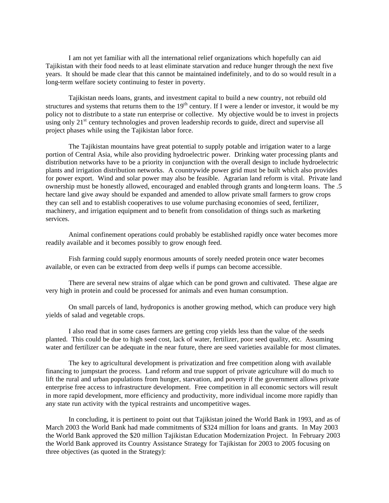I am not yet familiar with all the international relief organizations which hopefully can aid Tajikistan with their food needs to at least eliminate starvation and reduce hunger through the next five years. It should be made clear that this cannot be maintained indefinitely, and to do so would result in a long-term welfare society continuing to fester in poverty.

Tajikistan needs loans, grants, and investment capital to build a new country, not rebuild old structures and systems that returns them to the  $19<sup>th</sup>$  century. If I were a lender or investor, it would be my policy not to distribute to a state run enterprise or collective. My objective would be to invest in projects using only  $21<sup>st</sup>$  century technologies and proven leadership records to guide, direct and supervise all project phases while using the Tajikistan labor force.

The Tajikistan mountains have great potential to supply potable and irrigation water to a large portion of Central Asia, while also providing hydroelectric power. Drinking water processing plants and distribution networks have to be a priority in conjunction with the overall design to include hydroelectric plants and irrigation distribution networks. A countrywide power grid must be built which also provides for power export. Wind and solar power may also be feasible. Agrarian land reform is vital. Private land ownership must be honestly allowed, encouraged and enabled through grants and long-term loans. The .5 hectare land give away should be expanded and amended to allow private small farmers to grow crops they can sell and to establish cooperatives to use volume purchasing economies of seed, fertilizer, machinery, and irrigation equipment and to benefit from consolidation of things such as marketing services.

Animal confinement operations could probably be established rapidly once water becomes more readily available and it becomes possibly to grow enough feed.

Fish farming could supply enormous amounts of sorely needed protein once water becomes available, or even can be extracted from deep wells if pumps can become accessible.

There are several new strains of algae which can be pond grown and cultivated. These algae are very high in protein and could be processed for animals and even human consumption.

On small parcels of land, hydroponics is another growing method, which can produce very high yields of salad and vegetable crops.

I also read that in some cases farmers are getting crop yields less than the value of the seeds planted. This could be due to high seed cost, lack of water, fertilizer, poor seed quality, etc. Assuming water and fertilizer can be adequate in the near future, there are seed varieties available for most climates.

The key to agricultural development is privatization and free competition along with available financing to jumpstart the process. Land reform and true support of private agriculture will do much to lift the rural and urban populations from hunger, starvation, and poverty if the government allows private enterprise free access to infrastructure development. Free competition in all economic sectors will result in more rapid development, more efficiency and productivity, more individual income more rapidly than any state run activity with the typical restraints and uncompetitive wages.

In concluding, it is pertinent to point out that Tajikistan joined the World Bank in 1993, and as of March 2003 the World Bank had made commitments of \$324 million for loans and grants. In May 2003 the World Bank approved the \$20 million Tajikistan Education Modernization Project. In February 2003 the World Bank approved its Country Assistance Strategy for Tajikistan for 2003 to 2005 focusing on three objectives (as quoted in the Strategy):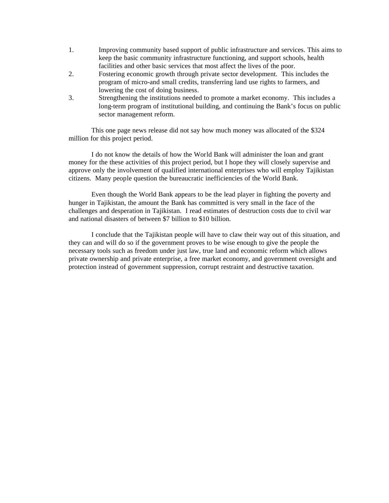- 1. Improving community based support of public infrastructure and services. This aims to keep the basic community infrastructure functioning, and support schools, health facilities and other basic services that most affect the lives of the poor.
- 2. Fostering economic growth through private sector development. This includes the program of micro-and small credits, transferring land use rights to farmers, and lowering the cost of doing business.
- 3. Strengthening the institutions needed to promote a market economy. This includes a long-term program of institutional building, and continuing the Bank's focus on public sector management reform.

This one page news release did not say how much money was allocated of the \$324 million for this project period.

I do not know the details of how the World Bank will administer the loan and grant money for the these activities of this project period, but I hope they will closely supervise and approve only the involvement of qualified international enterprises who will employ Tajikistan citizens. Many people question the bureaucratic inefficiencies of the World Bank.

Even though the World Bank appears to be the lead player in fighting the poverty and hunger in Tajikistan, the amount the Bank has committed is very small in the face of the challenges and desperation in Tajikistan. I read estimates of destruction costs due to civil war and national disasters of between \$7 billion to \$10 billion.

I conclude that the Tajikistan people will have to claw their way out of this situation, and they can and will do so if the government proves to be wise enough to give the people the necessary tools such as freedom under just law, true land and economic reform which allows private ownership and private enterprise, a free market economy, and government oversight and protection instead of government suppression, corrupt restraint and destructive taxation.